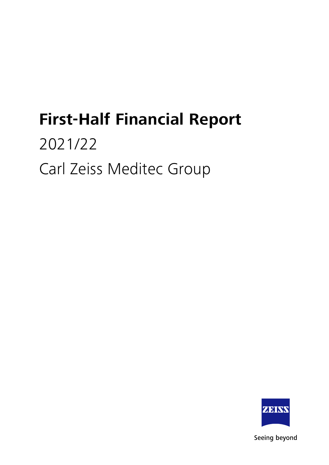# **First-Half Financial Report**

# 2021/22 Carl Zeiss Meditec Group



Seeing beyond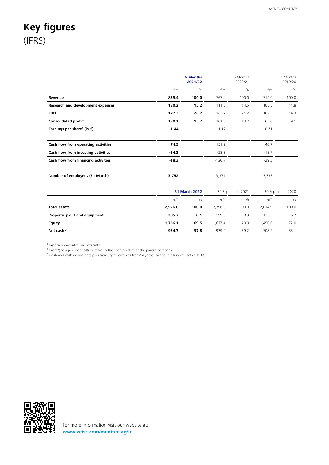# <span id="page-1-0"></span>**Key figures** (IFRS)

|                                                  |         | <b>6 Months</b><br>2021/22 |          | 6 Months<br>2020/21 |         | 6 Months<br>2019/20 |
|--------------------------------------------------|---------|----------------------------|----------|---------------------|---------|---------------------|
|                                                  | €m      | $\%$                       | €m       | %                   | €m      | %                   |
| Revenue                                          | 855.4   | 100.0                      | 767.4    | 100.0               | 714.9   | 100.0               |
| Research and development expenses                | 130.2   | 15.2                       | 111.6    | 14.5                | 105.5   | 14.8                |
| <b>EBIT</b>                                      | 177.3   | 20.7                       | 162.7    | 21.2                | 102.5   | 14.3                |
| Consolidated profit <sup>1</sup>                 | 130.1   | 15.2                       | 101.5    | 13.2                | 65.0    | 9.1                 |
| Earnings per share <sup>2</sup> (in $\epsilon$ ) | 1.44    |                            | 1.12     |                     | 0.71    |                     |
| Cash flow from operating activities              | 74.5    |                            | 151.9    |                     | 40.7    |                     |
| Cash flow from investing activities              | $-54.3$ |                            | $-28.8$  |                     | $-18.7$ |                     |
| Cash flow from financing activities              | $-18.3$ |                            | $-120.7$ |                     | $-29.3$ |                     |
| Number of employees (31 March)                   | 3,752   |                            | 3,371    |                     | 3,335   |                     |

|                               | 31 March 2022 |       |         | 30 September 2021 | 30 September 2020 |       |
|-------------------------------|---------------|-------|---------|-------------------|-------------------|-------|
|                               | €m            | $\%$  | €m      | $\%$              | €m                | %     |
| <b>Total assets</b>           | 2,526.0       | 100.0 | 2,396.0 | 100.0             | 2.014.9           | 100.0 |
| Property, plant and equipment | 205.7         | 8.1   | 199.6   | 8.3               | 135.3             | 6.7   |
| <b>Equity</b>                 | 1.756.1       | 69.5  | 1.677.4 | 70.0              | 1.450.6           | 72.0  |
| Net cash $3$                  | 954.7         | 37.8  | 939.9   | 39.2              | 708.2             | 35.1  |

1 Before non-controlling interests

<sup>2</sup> Profit/(loss) per share attributable to the shareholders of the parent company<br><sup>3</sup> Cash and cash equivalents plus treasury receivables from/payables to the treasury of Carl Zeiss AG

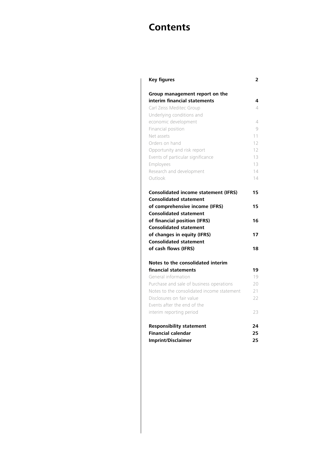# **Contents**

| <b>Key figures</b>                                            | 2        |
|---------------------------------------------------------------|----------|
| Group management report on the                                |          |
| interim financial statements                                  | 4        |
| Carl Zeiss Meditec Group                                      | $\Delta$ |
| Underlying conditions and                                     |          |
| economic development                                          | 4        |
| Financial position                                            | 9        |
| Net assets                                                    | 11       |
| Orders on hand                                                | 12       |
| Opportunity and risk report                                   | 12       |
| Events of particular significance                             | 13       |
| Employees                                                     | 13       |
| Research and development                                      | 14       |
| Outlook                                                       | 14       |
| <b>Consolidated income statement (IFRS)</b>                   | 15       |
|                                                               |          |
| <b>Consolidated statement</b>                                 |          |
| of comprehensive income (IFRS)                                | 15       |
| <b>Consolidated statement</b>                                 | 16       |
| of financial position (IFRS)<br><b>Consolidated statement</b> |          |
|                                                               | 17       |
| of changes in equity (IFRS)<br><b>Consolidated statement</b>  |          |
|                                                               | 18       |
| of cash flows (IFRS)                                          |          |
| Notes to the consolidated interim                             |          |
| financial statements                                          | 19       |
| General information                                           | 19       |
| Purchase and sale of business operations                      | 20       |
| Notes to the consolidated income statement                    | 21       |
| Disclosures on fair value                                     | 22       |
| Events after the end of the                                   |          |
| interim reporting period                                      | 23       |
| <b>Responsibility statement</b>                               | 24       |
| <b>Financial calendar</b>                                     | 25       |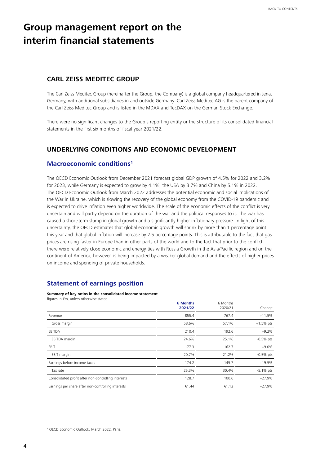# <span id="page-3-0"></span>**Group management report on the interim financial statements**

### **CARL ZEISS MEDITEC GROUP**

The Carl Zeiss Meditec Group (hereinafter the Group, the Company) is a global company headquartered in Jena, Germany, with additional subsidiaries in and outside Germany. Carl Zeiss Meditec AG is the parent company of the Carl Zeiss Meditec Group and is listed in the MDAX and TecDAX on the German Stock Exchange.

There were no significant changes to the Group's reporting entity or the structure of its consolidated financial statements in the first six months of fiscal year 2021/22.

### **UNDERLYING CONDITIONS AND ECONOMIC DEVELOPMENT**

### **Macroeconomic conditions1**

The OECD Economic Outlook from December 2021 forecast global GDP growth of 4.5% for 2022 and 3.2% for 2023, while Germany is expected to grow by 4.1%, the USA by 3.7% and China by 5.1% in 2022. The OECD Economic Outlook from March 2022 addresses the potential economic and social implications of the War in Ukraine, which is slowing the recovery of the global economy from the COVID-19 pandemic and is expected to drive inflation even higher worldwide. The scale of the economic effects of the conflict is very uncertain and will partly depend on the duration of the war and the political responses to it. The war has caused a short-term slump in global growth and a significantly higher inflationary pressure. In light of this uncertainty, the OECD estimates that global economic growth will shrink by more than 1 percentage point this year and that global inflation will increase by 2.5 percentage points. This is attributable to the fact that gas prices are rising faster in Europe than in other parts of the world and to the fact that prior to the conflict there were relatively close economic and energy ties with Russia Growth in the Asia/Pacific region and on the continent of America, however, is being impacted by a weaker global demand and the effects of higher prices on income and spending of private households.

### **Statement of earnings position**

**Summary of key ratios in the consolidated income statement** figures in €m, unless otherwise stated

| $\sim$                                              | <b>6 Months</b><br>2021/22 | 6 Months<br>2020/21 | Change       |
|-----------------------------------------------------|----------------------------|---------------------|--------------|
| Revenue                                             | 855.4                      | 767.4               | $+11.5%$     |
| Gross margin                                        | 58.6%                      | 57.1%               | $+1.5%$ pts  |
| EBITDA                                              | 210.4                      | 192.6               | $+9.2%$      |
| EBITDA margin                                       | 24.6%                      | 25.1%               | $-0.5%$ pts  |
| EBIT                                                | 177.3                      | 162.7               | $+9.0%$      |
| EBIT margin                                         | 20.7%                      | 21.2%               | $-0.5%$ pts  |
| Earnings before income taxes                        | 174.2                      | 145.7               | $+19.5%$     |
| Tax rate                                            | 25.3%                      | 30.4%               | $-5.1\%$ pts |
| Consolidated profit after non-controlling interests | 128.7                      | 100.6               | $+27.9%$     |
| Earnings per share after non-controlling interests  | €1.44                      | €1.12               | $+27.9%$     |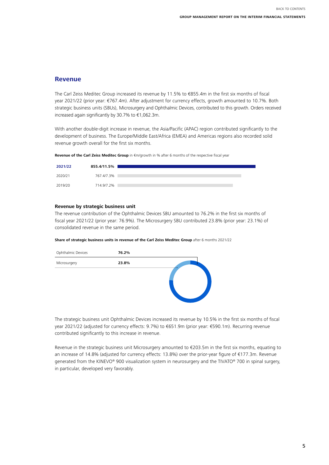### **Revenue**

The Carl Zeiss Meditec Group increased its revenue by 11.5% to €855.4m in the first six months of fiscal year 2021/22 (prior year: €767.4m). After adjustment for currency effects, growth amounted to 10.7%. Both strategic business units (SBUs), Microsurgery and Ophthalmic Devices, contributed to this growth. Orders received increased again significantly by 30.7% to €1,062.3m.

With another double-digit increase in revenue, the Asia/Pacific (APAC) region contributed significantly to the development of business. The Europe/Middle East/Africa (EMEA) and Americas regions also recorded solid revenue growth overall for the first six months.

**Revenue of the Carl Zeiss Meditec Group** in €m/growth in % after 6 months of the respective fiscal year

| 2021/22 | 855.4/11.5% |  |
|---------|-------------|--|
|         |             |  |
| 2020/21 | 767.4/7.3%  |  |
|         |             |  |
| 2019/20 | 714.9/7.2%  |  |
|         |             |  |

#### **Revenue by strategic business unit**

The revenue contribution of the Ophthalmic Devices SBU amounted to 76.2% in the first six months of fiscal year 2021/22 (prior year: 76.9%). The Microsurgery SBU contributed 23.8% (prior year: 23.1%) of consolidated revenue in the same period.

| Share of strategic business units in revenue of the Carl Zeiss Meditec Group after 6 months 2021/22 |
|-----------------------------------------------------------------------------------------------------|
|-----------------------------------------------------------------------------------------------------|



The strategic business unit Ophthalmic Devices increased its revenue by 10.5% in the first six months of fiscal year 2021/22 (adjusted for currency effects: 9.7%) to €651.9m (prior year: €590.1m). Recurring revenue contributed significantly to this increase in revenue.

Revenue in the strategic business unit Microsurgery amounted to €203.5m in the first six months, equating to an increase of 14.8% (adjusted for currency effects: 13.8%) over the prior-year figure of €177.3m. Revenue generated from the KINEVO® 900 visualization system in neurosurgery and the TIVATO® 700 in spinal surgery, in particular, developed very favorably.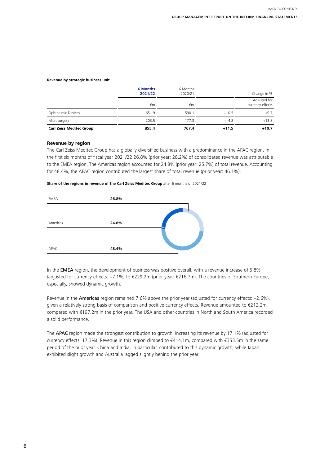#### **Revenue by strategic business unit**

|                                 | <b>6 Months</b><br>2021/22 | 6 Months<br>2020/21 |         | Change in %                      |
|---------------------------------|----------------------------|---------------------|---------|----------------------------------|
|                                 | €m                         | €m                  |         | Adjusted for<br>currency effects |
| Ophthalmic Devices              | 651.9                      | 590.1               | $+10.5$ | $+9.7$                           |
| Microsurgery                    | 203.5                      | 177.3               | $+14.8$ | $+13.8$                          |
| <b>Carl Zeiss Meditec Group</b> | 855.4                      | 767.4               | $+11.5$ | $+10.7$                          |

#### **Revenue by region**

The Carl Zeiss Meditec Group has a globally diversified business with a predominance in the APAC region. In the first six months of fiscal year 2021/22 26.8% (prior year: 28.2%) of consolidated revenue was attributable to the EMEA region. The Americas region accounted for 24.8% (prior year: 25.7%) of total revenue. Accounting for 48.4%, the APAC region contributed the largest share of total revenue (prior year: 46.1%).

**Share of the regions in revenue of the Carl Zeiss Meditec Group** after 6 months of 2021/22



In the **EMEA** region, the development of business was positive overall, with a revenue increase of 5.8% (adjusted for currency effects: +7.1%) to €229.2m (prior year: €216.7m). The countries of Southern Europe, especially, showed dynamic growth.

Revenue in the Americas region remained 7.6% above the prior year (adjusted for currency effects: +2.6%), given a relatively strong basis of comparison and positive currency effects. Revenue amounted to €212.2m, compared with €197.2m in the prior year. The USA and other countries in North and South America recorded a solid performance.

The APAC region made the strongest contribution to growth, increasing its revenue by 17.1% (adjusted for currency effects: 17.3%). Revenue in this region climbed to €414.1m, compared with €353.5m in the same period of the prior year. China and India, in particular, contributed to this dynamic growth, while Japan exhibited slight growth and Australia lagged slightly behind the prior year.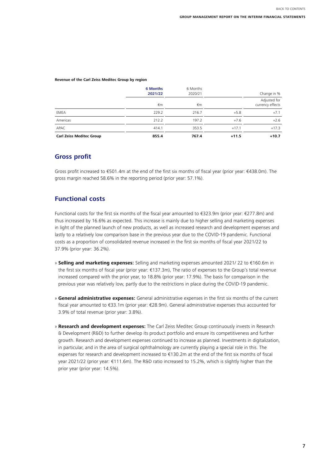#### **Revenue of the Carl Zeiss Meditec Group by region**

|                                 | <b>6 Months</b><br>2021/22 | 6 Months<br>2020/21 |         | Change in %                      |
|---------------------------------|----------------------------|---------------------|---------|----------------------------------|
|                                 | €m                         | €m                  |         | Adjusted for<br>currency effects |
| <b>EMEA</b>                     | 229.2                      | 216.7               | $+5.8$  | $+7.1$                           |
| Americas                        | 212.2                      | 197.2               | $+7.6$  | $+2.6$                           |
| APAC                            | 414.1                      | 353.5               | $+17.1$ | $+17.3$                          |
| <b>Carl Zeiss Meditec Group</b> | 855.4                      | 767.4               | $+11.5$ | $+10.7$                          |

### **Gross profit**

Gross profit increased to €501.4m at the end of the first six months of fiscal year (prior year: €438.0m). The gross margin reached 58.6% in the reporting period (prior year: 57.1%).

### **Functional costs**

Functional costs for the first six months of the fiscal year amounted to €323.9m (prior year: €277.8m) and thus increased by 16.6% as expected. This increase is mainly due to higher selling and marketing expenses in light of the planned launch of new products, as well as increased research and development expenses and lastly to a relatively low comparison base in the previous year due to the COVID-19 pandemic. Functional costs as a proportion of consolidated revenue increased in the first six months of fiscal year 2021/22 to 37.9% (prior year: 36.2%).

- » **Selling and marketing expenses:** Selling and marketing expenses amounted 2021/ 22 to €160.6m in the first six months of fiscal year (prior year: €137.3m), The ratio of expenses to the Group's total revenue increased compared with the prior year, to 18.8% (prior year: 17.9%). The basis for comparison in the previous year was relatively low, partly due to the restrictions in place during the COVID-19 pandemic.
- » **General administrative expenses:** General administrative expenses in the first six months of the current fiscal year amounted to €33.1m (prior year: €28.9m). General administrative expenses thus accounted for 3.9% of total revenue (prior year: 3.8%).
- » **Research and development expenses:** The Carl Zeiss Meditec Group continuously invests in Research & Development (R&D) to further develop its product portfolio and ensure its competitiveness and further growth. Research and development expenses continued to increase as planned. Investments in digitalization, in particular, and in the area of surgical ophthalmology are currently playing a special role in this. The expenses for research and development increased to €130.2m at the end of the first six months of fiscal year 2021/22 (prior year: €111.6m). The R&D ratio increased to 15.2%, which is slightly higher than the prior year (prior year: 14.5%).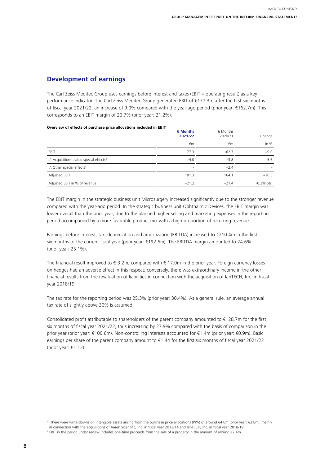BACK TO CONTENTS

# **Development of earnings**

The Carl Zeiss Meditec Group uses earnings before interest and taxes (EBIT = operating result) as a key performance indicator. The Carl Zeiss Meditec Group generated EBIT of €177.3m after the first six months of fiscal year 2021/22, an increase of 9.0% compared with the year-ago period (prior year: €162.7m). This corresponds to an EBIT margin of 20.7% (prior year: 21.2%).

#### **Overview of effects of purchase price allocations included in EBIT<sup>23</sup>**

|                                                      | <b>6 Months</b><br>2021/22 | 6 Months<br>2020/21 | Change       |
|------------------------------------------------------|----------------------------|---------------------|--------------|
|                                                      | €m                         | €m                  | in $%$       |
| EBIT                                                 | 177.3                      | 162.7               | $+9.0$       |
| ./. Acquisition-related special effects <sup>2</sup> | $-4.0$                     | $-3.8$              | $+5.6$       |
| ./. Other special effects <sup>3</sup>               | ٠                          | $+2.4$              |              |
| Adjusted EBIT                                        | 181.3                      | 164.1               | $+10.5$      |
| Adjusted EBIT in % of revenue                        | $+21.2$                    | $+21.4$             | $-0.2%$ pts. |

The EBIT margin in the strategic business unit Microsurgery increased significantly due to the stronger revenue compared with the year-ago period. In the strategic business unit Ophthalmic Devices, the EBIT margin was lower overall than the prior year, due to the planned higher selling and marketing expenses in the reporting period accompanied by a more favorable product mix with a high proportion of recurring revenue.

Earnings before interest, tax, depreciation and amortization (EBITDA) increased to €210.4m in the first six months of the current fiscal year (prior year: €192.6m). The EBITDA margin amounted to 24.6% (prior year: 25.1%).

The financial result improved to €-3.2m, compared with €-17.0m in the prior year. Foreign currency losses on hedges had an adverse effect in this respect; conversely, there was extraordinary income in the other financial results from the revaluation of liabilities in connection with the acquisition of IanTECH, Inc. in fiscal year 2018/19.

The tax rate for the reporting period was 25.3% (prior year: 30.4%). As a general rule, an average annual tax rate of slightly above 30% is assumed.

Consolidated profit attributable to shareholders of the parent company amounted to €128.7m for the first six months of fiscal year 2021/22, thus increasing by 27.9% compared with the basis of comparison in the prior year (prior year: €100.6m). Non-controlling interests accounted for €1.4m (prior year: €0.9m). Basic earnings per share of the parent company amount to €1.44 for the first six months of fiscal year 2021/22 (prior year: €1.12).

<sup>2</sup> There were write-downs on intangible assets arising from the purchase price allocations (PPA) of around €4.0m (prior year: €3.8m), mainly in connection with the acquisitions of Aaren Scientific, Inc. in fiscal year 2013/14 and IanTECH, Inc. in fiscal year 2018/19.

<sup>3</sup> EBIT in the period under review includes one-time proceeds from the sale of a property in the amount of around €2.4m.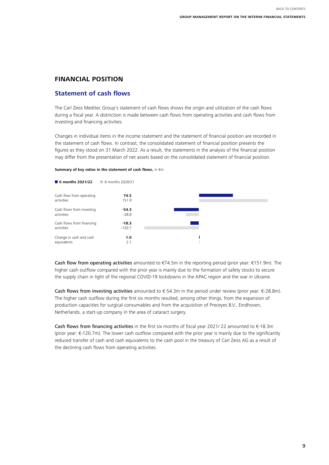# <span id="page-8-0"></span>**FINANCIAL POSITION**

# **Statement of cash flows**

The Carl Zeiss Meditec Group's statement of cash flows shows the origin and utilization of the cash flows during a fiscal year. A distinction is made between cash flows from operating activities and cash flows from investing and financing activities.

Changes in individual items in the income statement and the statement of financial position are recorded in the statement of cash flows. In contrast, the consolidated statement of financial position presents the figures as they stood on 31 March 2022. As a result, the statements in the analysis of the financial position may differ from the presentation of net assets based on the consolidated statement of financial position.

#### **Summary of key ratios in the statement of cash flows,** in €m



Cash flow from operating activities amounted to €74.5m in the reporting period (prior year: €151.9m). The higher cash outflow compared with the prior year is mainly due to the formation of safety stocks to secure the supply chain in light of the regional COVID-19 lockdowns in the APAC region and the war in Ukraine.

Cash flows from investing activities amounted to €-54.3m in the period under review (prior year: €-28.8m). The higher cash outflow during the first six months resulted, among other things, from the expansion of production capacities for surgical consumables and from the acquisition of Preceyes B.V., Eindhoven, Netherlands, a start-up company in the area of cataract surgery.

Cash flows from financing activities in the first six months of fiscal year 2021/ 22 amounted to  $\epsilon$ -18.3m (prior year: €-120.7m). The lower cash outflow compared with the prior year is mainly due to the significantly reduced transfer of cash and cash equivalents to the cash pool in the treasury of Carl Zeiss AG as a result of the declining cash flows from operating activities.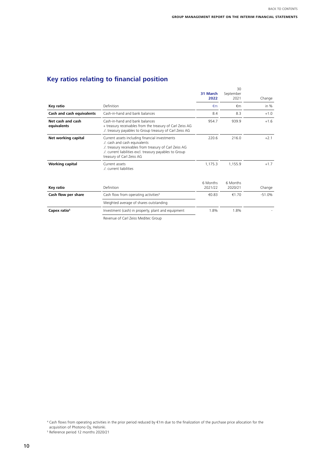# **Key ratios relating to financial position**

|                                  |                                                                                                                                                                                                                                     | 31 March<br>2022    | 30<br>September<br>2021 | Change   |
|----------------------------------|-------------------------------------------------------------------------------------------------------------------------------------------------------------------------------------------------------------------------------------|---------------------|-------------------------|----------|
| Key ratio                        | Definition                                                                                                                                                                                                                          | $\n  Em\n$          | €m                      | in $%$   |
| Cash and cash equivalents        | Cash-in-hand and bank balances                                                                                                                                                                                                      | 8.4                 | 8.3                     | $+1.0$   |
| Net cash and cash<br>equivalents | Cash-in-hand and bank balances<br>+ treasury receivables from the treasury of Carl Zeiss AG<br>./. treasury payables to Group treasury of Carl Zeiss AG                                                                             | 954.7               | 939.9                   | $+1.6$   |
| Net working capital              | Current assets including financial investments<br>./. cash and cash equivalents<br>./. treasury receivables from treasury of Carl Zeiss AG<br>./. current liabilities excl. treasury payables to Group<br>treasury of Carl Zeiss AG | 220.6               | 216.0                   | $+2.1$   |
| <b>Working capital</b>           | Current assets<br>./. current liabilities                                                                                                                                                                                           | 1,175.3             | 1.155.9                 | $+1.7$   |
| Key ratio                        | Definition                                                                                                                                                                                                                          | 6 Months<br>2021/22 | 6 Months<br>2020/21     | Change   |
| Cash flow per share              | Cash flow from operating activities <sup>4</sup>                                                                                                                                                                                    | €0.83               | €1.70                   | $-51.0%$ |
|                                  | Weighted average of shares outstanding                                                                                                                                                                                              |                     |                         |          |
| Capex ratio <sup>5</sup>         | Investment (cash) in property, plant and equipment                                                                                                                                                                                  | 1.8%                | 1.8%                    |          |

Revenue of Carl Zeiss Meditec Group

<sup>4</sup> Cash flows from operating activities in the prior period reduced by €1m due to the finalization of the purchase price allocation for the

acquisition of Photono Oy, Helsinki. 5 Reference period 12 months 2020/21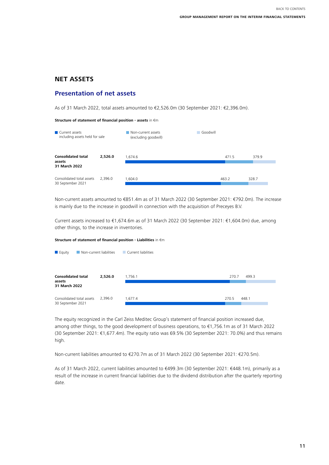# <span id="page-10-0"></span>**NET ASSETS**

# **Presentation of net assets**

As of 31 March 2022, total assets amounted to €2,526.0m (30 September 2021: €2,396.0m).

#### **Structure of statement of financial position - assets** in €m

| Current assets<br>including assets held for sale     |         | Non-current assets<br>(excluding goodwill) | Goodwill |       |  |
|------------------------------------------------------|---------|--------------------------------------------|----------|-------|--|
| <b>Consolidated total</b><br>assets<br>31 March 2022 | 2,526.0 | 1.674.6                                    | 471.5    | 379.9 |  |
| Consolidated total assets<br>30 September 2021       | 2,396.0 | 1,604.0                                    | 463.2    | 328.7 |  |

Non-current assets amounted to €851.4m as of 31 March 2022 (30 September 2021: €792.0m). The increase is mainly due to the increase in goodwill in connection with the acquisition of Preceyes B.V.

Current assets increased to €1,674.6m as of 31 March 2022 (30 September 2021: €1,604.0m) due, among other things, to the increase in inventories.

#### **Structure of statement of financial position - Liabilities** in €m

| <b>Equity</b><br>Non-current liabilities             |         | Current liabilities |       |       |
|------------------------------------------------------|---------|---------------------|-------|-------|
| <b>Consolidated total</b><br>assets<br>31 March 2022 | 2,526.0 | 1,756.1             | 270.7 | 499.3 |
| Consolidated total assets<br>30 September 2021       | 2,396.0 | 1,677.4             | 270.5 | 448.1 |

The equity recognized in the Carl Zeiss Meditec Group's statement of financial position increased due, among other things, to the good development of business operations, to €1,756.1m as of 31 March 2022 (30 September 2021: €1,677.4m). The equity ratio was 69.5% (30 September 2021: 70.0%) and thus remains high.

Non-current liabilities amounted to €270.7m as of 31 March 2022 (30 September 2021: €270.5m).

As of 31 March 2022, current liabilities amounted to €499.3m (30 September 2021: €448.1m), primarily as a result of the increase in current financial liabilities due to the dividend distribution after the quarterly reporting date.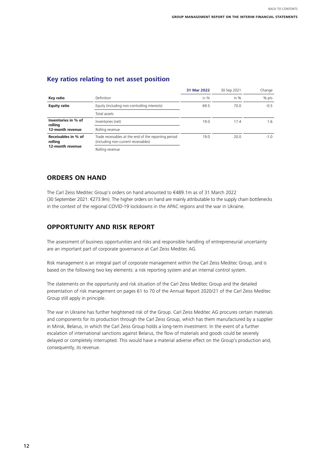BACK TO CONTENTS

# <span id="page-11-0"></span>**Key ratios relating to net asset position**

|                                |                                                                                             | 31 Mar 2022 | 30 Sep 2021 | Change |
|--------------------------------|---------------------------------------------------------------------------------------------|-------------|-------------|--------|
| Key ratio                      | Definition                                                                                  | in $%$      | in $%$      | % pts  |
| <b>Equity ratio</b>            | Equity (including non-controlling interests)                                                | 69.5        | 70.0        | $-0.5$ |
|                                | Total assets                                                                                |             |             |        |
| Inventories in % of<br>rolling | Inventories (net)                                                                           | 19.0        | 17.4        | 1.6    |
| 12-month revenue               | Rolling revenue                                                                             |             |             |        |
| Receivables in % of<br>rolling | Trade receivables at the end of the reporting period<br>(including non-current receivables) | 19.0        | 20.0        | $-1.0$ |
| 12-month revenue               | Rolling revenue                                                                             |             |             |        |

## **ORDERS ON HAND**

The Carl Zeiss Meditec Group's orders on hand amounted to €489.1m as of 31 March 2022 (30 September 2021: €273.9m). The higher orders on hand are mainly attributable to the supply chain bottlenecks in the context of the regional COVID-19 lockdowns in the APAC regions and the war in Ukraine.

# **OPPORTUNITY AND RISK REPORT**

The assessment of business opportunities and risks and responsible handling of entrepreneurial uncertainty are an important part of corporate governance at Carl Zeiss Meditec AG.

Risk management is an integral part of corporate management within the Carl Zeiss Meditec Group, and is based on the following two key elements: a risk reporting system and an internal control system.

The statements on the opportunity and risk situation of the Carl Zeiss Meditec Group and the detailed presentation of risk management on pages 61 to 70 of the Annual Report 2020/21 of the Carl Zeiss Meditec Group still apply in principle.

The war in Ukraine has further heightened risk of the Group. Carl Zeiss Meditec AG procures certain materials and components for its production through the Carl Zeiss Group, which has them manufactured by a supplier in Minsk, Belarus, in which the Carl Zeiss Group holds a long-term investment. In the event of a further escalation of international sanctions against Belarus, the flow of materials and goods could be severely delayed or completely interrupted. This would have a material adverse effect on the Group's production and, consequently, its revenue.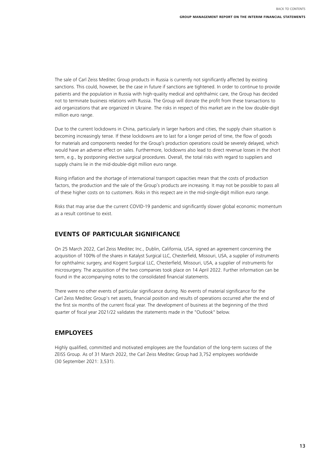<span id="page-12-0"></span>The sale of Carl Zeiss Meditec Group products in Russia is currently not significantly affected by existing sanctions. This could, however, be the case in future if sanctions are tightened. In order to continue to provide patients and the population in Russia with high-quality medical and ophthalmic care, the Group has decided not to terminate business relations with Russia. The Group will donate the profit from these transactions to aid organizations that are organized in Ukraine. The risks in respect of this market are in the low double-digit million euro range.

Due to the current lockdowns in China, particularly in larger harbors and cities, the supply chain situation is becoming increasingly tense. If these lockdowns are to last for a longer period of time, the flow of goods for materials and components needed for the Group's production operations could be severely delayed, which would have an adverse effect on sales. Furthermore, lockdowns also lead to direct revenue losses in the short term, e.g., by postponing elective surgical procedures. Overall, the total risks with regard to suppliers and supply chains lie in the mid-double-digit million euro range.

Rising inflation and the shortage of international transport capacities mean that the costs of production factors, the production and the sale of the Group's products are increasing. It may not be possible to pass all of these higher costs on to customers. Risks in this respect are in the mid-single-digit million euro range.

Risks that may arise due the current COVID-19 pandemic and significantly slower global economic momentum as a result continue to exist.

# **EVENTS OF PARTICULAR SIGNIFICANCE**

On 25 March 2022, Carl Zeiss Meditec Inc., Dublin, California, USA, signed an agreement concerning the acquisition of 100% of the shares in Katalyst Surgical LLC, Chesterfield, Missouri, USA, a supplier of instruments for ophthalmic surgery, and Kogent Surgical LLC, Chesterfield, Missouri, USA, a supplier of instruments for microsurgery. The acquisition of the two companies took place on 14 April 2022. Further information can be found in the accompanying notes to the consolidated financial statements.

There were no other events of particular significance during. No events of material significance for the Carl Zeiss Meditec Group's net assets, financial position and results of operations occurred after the end of the first six months of the current fiscal year. The development of business at the beginning of the third quarter of fiscal year 2021/22 validates the statements made in the "Outlook" below.

## **EMPLOYEES**

Highly qualified, committed and motivated employees are the foundation of the long-term success of the ZEISS Group. As of 31 March 2022, the Carl Zeiss Meditec Group had 3,752 employees worldwide (30 September 2021: 3,531).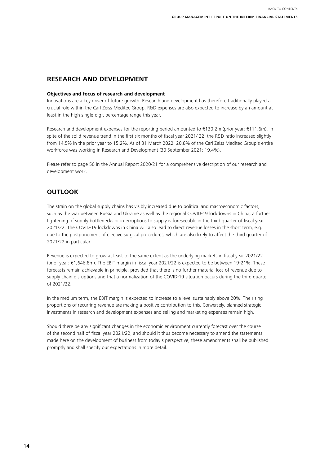BACK TO CONTENTS

# <span id="page-13-0"></span>**RESEARCH AND DEVELOPMENT**

#### **Objectives and focus of research and development**

Innovations are a key driver of future growth. Research and development has therefore traditionally played a crucial role within the Carl Zeiss Meditec Group. R&D expenses are also expected to increase by an amount at least in the high single-digit percentage range this year.

Research and development expenses for the reporting period amounted to €130.2m (prior year: €111.6m). In spite of the solid revenue trend in the first six months of fiscal year 2021/22, the R&D ratio increased slightly from 14.5% in the prior year to 15.2%. As of 31 March 2022, 20.8% of the Carl Zeiss Meditec Group's entire workforce was working in Research and Development (30 September 2021: 19.4%).

Please refer to page 50 in the Annual Report 2020/21 for a comprehensive description of our research and development work.

# **OUTLOOK**

The strain on the global supply chains has visibly increased due to political and macroeconomic factors, such as the war between Russia and Ukraine as well as the regional COVID-19 lockdowns in China; a further tightening of supply bottlenecks or interruptions to supply is foreseeable in the third quarter of fiscal year 2021/22. The COVID-19 lockdowns in China will also lead to direct revenue losses in the short term, e.g. due to the postponement of elective surgical procedures, which are also likely to affect the third quarter of 2021/22 in particular.

Revenue is expected to grow at least to the same extent as the underlying markets in fiscal year 2021/22 (prior year: €1,646.8m). The EBIT margin in fiscal year 2021/22 is expected to be between 19-21%. These forecasts remain achievable in principle, provided that there is no further material loss of revenue due to supply chain disruptions and that a normalization of the COVID-19 situation occurs during the third quarter of 2021/22.

In the medium term, the EBIT margin is expected to increase to a level sustainably above 20%. The rising proportions of recurring revenue are making a positive contribution to this. Conversely, planned strategic investments in research and development expenses and selling and marketing expenses remain high.

Should there be any significant changes in the economic environment currently forecast over the course of the second half of fiscal year 2021/22, and should it thus become necessary to amend the statements made here on the development of business from today's perspective, these amendments shall be published promptly and shall specify our expectations in more detail.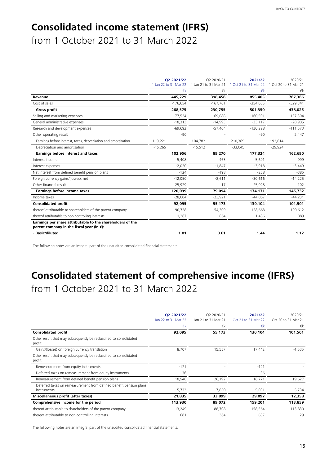# <span id="page-14-0"></span>**Consolidated income statement (IFRS)**

from 1 October 2021 to 31 March 2022

|                                                                                                              | 02 2021/22            | 02 2020/21            | 2021/22                                     | 2020/21    |
|--------------------------------------------------------------------------------------------------------------|-----------------------|-----------------------|---------------------------------------------|------------|
|                                                                                                              | 1 Jan 22 to 31 Mar 22 | 1 Jan 21 to 31 Mar 21 | 1 Oct 21 to 31 Mar 22 1 Oct 20 to 31 Mar 21 |            |
|                                                                                                              | $\n  k\n$             | €k                    | $\n  k\n$                                   | €k         |
| Revenue                                                                                                      | 445.229               | 398,456               | 855,405                                     | 767,366    |
| Cost of sales                                                                                                | $-176,654$            | $-167,701$            | $-354,055$                                  | $-329,341$ |
| <b>Gross profit</b>                                                                                          | 268,575               | 230,755               | 501,350                                     | 438,025    |
| Selling and marketing expenses                                                                               | $-77,524$             | $-69,088$             | $-160,591$                                  | $-137,304$ |
| General administrative expenses                                                                              | $-18,313$             | $-14,993$             | $-33,117$                                   | $-28,905$  |
| Research and development expenses                                                                            | $-69,692$             | $-57,404$             | $-130,228$                                  | $-111,573$ |
| Other operating result                                                                                       | $-90$                 |                       | $-90$                                       | 2,447      |
| Earnings before interest, taxes, depreciation and amortization                                               | 119,221               | 104,782               | 210,369                                     | 192,614    |
| Depreciation and amortization                                                                                | $-16.265$             | $-15,512$             | $-33.045$                                   | $-29,924$  |
| <b>Earnings before interest and taxes</b>                                                                    | 102,956               | 89,270                | 177,324                                     | 162,690    |
| Interest income                                                                                              | 5,408                 | 463                   | 5,691                                       | 999        |
| Interest expenses                                                                                            | $-2,020$              | $-1,847$              | $-3,918$                                    | $-3,449$   |
| Net interest from defined benefit pension plans                                                              | $-124$                | $-198$                | $-238$                                      | $-385$     |
| Foreign currency gains/(losses), net                                                                         | $-12,050$             | $-8,611$              | $-30,616$                                   | $-14,225$  |
| Other financial result                                                                                       | 25,929                | 17                    | 25,928                                      | 102        |
| Earnings before income taxes                                                                                 | 120,099               | 79,094                | 174,171                                     | 145,732    |
| Income taxes                                                                                                 | $-28.004$             | $-23,921$             | $-44.067$                                   | $-44,231$  |
| <b>Consolidated profit</b>                                                                                   | 92,095                | 55,173                | 130,104                                     | 101,501    |
| thereof attributable to shareholders of the parent company                                                   | 90,728                | 54,309                | 128,668                                     | 100,612    |
| thereof attributable to non-controlling interests                                                            | 1,367                 | 864                   | 1,436                                       | 889        |
| Earnings per share attributable to the shareholders of the<br>parent company in the fiscal year (in $\xi$ ): |                       |                       |                                             |            |
| - Basic/diluted                                                                                              | 1.01                  | 0.61                  | 1.44                                        | 1.12       |

The following notes are an integral part of the unaudited consolidated financial statements.

# **Consolidated statement of comprehensive income (IFRS)** from 1 October 2021 to 31 March 2022

|                                                                                   | 02 2021/22<br>Jan 22 to 31 Mar 22 | 02 2020/21<br>1 Jan 21 to 31 Mar 21 | 2021/22<br>Oct 21 to 31 Mar 22 | 2020/21<br>1 Oct 20 to 31 Mar 21 |
|-----------------------------------------------------------------------------------|-----------------------------------|-------------------------------------|--------------------------------|----------------------------------|
|                                                                                   | €k                                | €k                                  | $\n  k\n$                      | €k                               |
| <b>Consolidated profit</b>                                                        | 92,095                            | 55,173                              | 130,104                        | 101,501                          |
| Other result that may subsequently be reclassified to consolidated<br>profit:     |                                   |                                     |                                |                                  |
| Gains/(losses) on foreign currency translation                                    | 8,707                             | 15,557                              | 17,442                         | $-1,535$                         |
| Other result that may subsequently be reclassified to consolidated<br>profit:     |                                   |                                     |                                |                                  |
| Remeasurement from equity instruments                                             | $-121$                            |                                     | $-121$                         |                                  |
| Deferred taxes on remeasurement from equity instruments                           | 36                                |                                     | 36                             |                                  |
| Remeasurement from defined benefit pension plans                                  | 18,946                            | 26,192                              | 16,771                         | 19,627                           |
| Deferred taxes on remeasurement from defined benefit pension plans<br>instruments | $-5,733$                          | $-7,850$                            | $-5,031$                       | $-5,734$                         |
| Miscellaneous profit (after taxes)                                                | 21,835                            | 33,899                              | 29,097                         | 12,358                           |
| Comprehensive income for the period                                               | 113,930                           | 89,072                              | 159,201                        | 113,859                          |
| thereof attributable to shareholders of the parent company                        | 113,249                           | 88,708                              | 158,564                        | 113,830                          |
| thereof attributable to non-controlling interests                                 | 681                               | 364                                 | 637                            | 29                               |

The following notes are an integral part of the unaudited consolidated financial statements.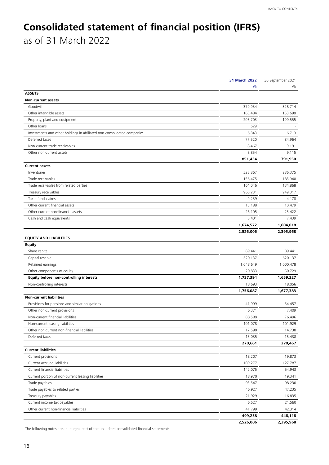# <span id="page-15-0"></span>**Consolidated statement of financial position (IFRS)** as of 31 March 2022

| 31 March 2022                                                                    | 30 September 2021 |
|----------------------------------------------------------------------------------|-------------------|
| €k                                                                               | €k                |
| <b>ASSETS</b>                                                                    |                   |
| <b>Non-current assets</b>                                                        |                   |
| 379,934<br>Goodwill                                                              | 328,714           |
| Other intangible assets<br>163,484                                               | 153,698           |
| Property, plant and equipment<br>205,703                                         | 199,555           |
| Other loans<br>629                                                               |                   |
| Investments and other holdings in affiliated non-consolidated companies<br>6,843 | 6,713             |
| Deferred taxes<br>77,520                                                         | 84,964            |
| Non-current trade receivables<br>8,467                                           | 9,191             |
| 8,854<br>Other non-current assets                                                | 9,115             |
| 851,434                                                                          | 791,950           |
| <b>Current assets</b>                                                            |                   |
| 328,867<br>Inventories                                                           | 286,375           |
| Trade receivables<br>156,475                                                     | 185,940           |
| Trade receivables from related parties<br>164,046                                | 134,868           |
| Treasury receivables<br>968,231                                                  | 949,317           |
| Tax refund claims<br>9,259                                                       | 4,178             |
| Other current financial assets<br>13,188                                         | 10,479            |
| Other current non-financial assets<br>26,105                                     | 25,422            |
| Cash and cash equivalents<br>8,401                                               | 7,439             |
| 1,674,572                                                                        | 1,604,018         |
| 2,526,006                                                                        | 2,395,968         |
| <b>EQUITY AND LIABILITIES</b>                                                    |                   |
| <b>Equity</b>                                                                    |                   |
| Share capital<br>89,441                                                          | 89,441            |
| Capital reserve<br>620,137                                                       | 620,137           |
| Retained earnings<br>1,048,649                                                   | 1,000,478         |
| Other components of equity<br>$-20,833$                                          | $-50,729$         |
| Equity before non-controlling interests<br>1,737,394                             | 1,659,327         |
| Non-controlling interests<br>18,693                                              | 18,056            |
| 1,756,087                                                                        | 1,677,383         |
| <b>Non-current liabilities</b>                                                   |                   |
| Provisions for pensions and similar obligations<br>41,999                        | 54,457            |
| Other non-current provisions<br>6,371                                            | 7,409             |
| Non-current financial liabilities<br>88,588                                      | 76,496            |
| 101,078<br>Non-current leasing liabilities                                       | 101,929           |
| 17,590<br>Other non-current non-financial liabilities                            | 14,738            |
| Deferred taxes<br>15,035                                                         | 15,438            |
| 270,661                                                                          | 270,467           |
| <b>Current liabilities</b>                                                       |                   |
| Current provisions<br>18,207                                                     | 19,873            |
| Current accrued liabilities<br>109,277                                           | 127,787           |
| Current financial liabilities<br>142,075                                         | 54,943            |
| Current portion of non-current leasing liabilities<br>18,970                     | 19,341            |
| Trade payables<br>93,547                                                         | 98,230            |
| Trade payables to related parties<br>46,927                                      | 47,235            |
| Treasury payables<br>21,929                                                      | 16,835            |
| Current income tax payables<br>6,527                                             | 21,560            |
| Other current non-financial liabilities<br>41,799                                | 42,314            |
| 499,258                                                                          | 448,118           |
| 2,526,006                                                                        | 2,395,968         |

The following notes are an integral part of the unaudited consolidated financial statements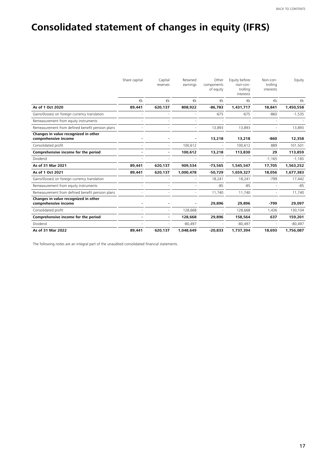# <span id="page-16-0"></span>**Consolidated statement of changes in equity (IFRS)**

|                                                              | Share capital | Capital<br>reserves | Retained<br>earnings | Other<br>components<br>of equity | Equity before<br>non-con-<br>trolling<br>interests | Non-con-<br>trolling<br>interests | Equity    |
|--------------------------------------------------------------|---------------|---------------------|----------------------|----------------------------------|----------------------------------------------------|-----------------------------------|-----------|
|                                                              | €k            | €k                  | €k                   | €k                               | $\notin k$                                         | €k                                | €k        |
| As of 1 Oct 2020                                             | 89,441        | 620,137             | 808,922              | $-86,783$                        | 1,431,717                                          | 18,841                            | 1,450,558 |
| Gains/(losses) on foreign currency translation               |               |                     |                      | $-675$                           | $-675$                                             | $-860$                            | $-1,535$  |
| Remeasurement from equity instruments                        |               |                     |                      |                                  |                                                    |                                   |           |
| Remeasurement from defined benefit pension plans             |               |                     | ۰                    | 13,893                           | 13,893                                             |                                   | 13,893    |
| Changes in value recognized in other<br>comprehensive income |               |                     |                      | 13,218                           | 13,218                                             | -860                              | 12,358    |
| Consolidated profit                                          |               |                     | 100.612              |                                  | 100.612                                            | 889                               | 101,501   |
| Comprehensive income for the period                          |               |                     | 100,612              | 13,218                           | 113,830                                            | 29                                | 113,859   |
| Dividend                                                     |               |                     |                      |                                  |                                                    | $-1,165$                          | $-1,165$  |
| As of 31 Mar 2021                                            | 89,441        | 620,137             | 909,534              | $-73,565$                        | 1,545,547                                          | 17,705                            | 1,563,252 |
| As of 1 Oct 2021                                             | 89,441        | 620,137             | 1,000,478            | $-50,729$                        | 1,659,327                                          | 18,056                            | 1,677,383 |
| Gains/(losses) on foreign currency translation               |               |                     |                      | 18,241                           | 18,241                                             | $-799$                            | 17,442    |
| Remeasurement from equity instruments                        |               |                     |                      | $-85$                            | $-85$                                              |                                   | $-85$     |
| Remeasurement from defined benefit pension plans             |               |                     |                      | 11,740                           | 11,740                                             |                                   | 11,740    |
| Changes in value recognized in other<br>comprehensive income |               |                     |                      | 29,896                           | 29,896                                             | $-799$                            | 29,097    |
| Consolidated profit                                          |               |                     | 128,668              |                                  | 128,668                                            | 1,436                             | 130,104   |
| Comprehensive income for the period                          |               |                     | 128,668              | 29,896                           | 158,564                                            | 637                               | 159,201   |
| Dividend                                                     |               |                     | $-80,497$            |                                  | $-80,497$                                          |                                   | $-80,497$ |
| As of 31 Mar 2022                                            | 89,441        | 620,137             | 1,048,649            | $-20,833$                        | 1,737,394                                          | 18,693                            | 1,756,087 |

The following notes are an integral part of the unaudited consolidated financial statements.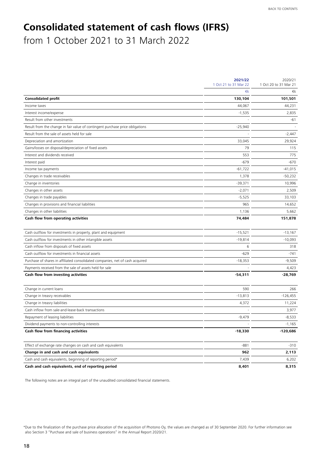# <span id="page-17-0"></span>**Consolidated statement of cash flows (IFRS)**

from 1 October 2021 to 31 March 2022

|                                                                               | 2021/22<br>1 Oct 21 to 31 Mar 22 | 2020/21<br>1 Oct 20 to 31 Mar 21 |
|-------------------------------------------------------------------------------|----------------------------------|----------------------------------|
|                                                                               | €k                               | €k                               |
| <b>Consolidated profit</b>                                                    | 130,104                          | 101,501                          |
| Income taxes                                                                  | 44,067                           | 44.231                           |
| Interest income/expense                                                       | $-1,535$                         | 2,835                            |
| Result from other investments                                                 |                                  | -61                              |
| Result from the change in fair value of contingent purchase price obligations | $-25,940$                        |                                  |
| Result from the sale of assets held for sale                                  |                                  | $-2,447$                         |
| Depreciation and amortization                                                 | 33,045                           | 29,924                           |
| Gains/losses on disposal/depreciation of fixed assets                         | 79                               | 115                              |
| Interest and dividends received                                               | 553                              | 775                              |
| Interest paid                                                                 | $-679$                           | $-670$                           |
| Income tax payments                                                           | $-61,722$                        | $-41,015$                        |
| Changes in trade receivables                                                  | 1,378                            | $-50,232$                        |
| Change in inventories                                                         | -39,371                          | 10,996                           |
| Changes in other assets                                                       | $-2,071$                         | 2,509                            |
| Changes in trade payables                                                     | $-5,525$                         | 33,103                           |
| Changes in provisions and financial liabilities                               | 965                              | 14,652                           |
| Changes in other liabilities                                                  | 1,136                            | 5,662                            |
| Cash flow from operating activities                                           | 74,484                           | 151,878                          |
| Cash outflow for investments in property, plant and equipment                 | $-15,521$                        | $-13,167$                        |
| Cash outflow for investments in other intangible assets                       | $-19,814$                        | $-10,093$                        |
| Cash inflow from disposals of fixed assets                                    | 6                                | 318                              |
| Cash outflow for investments in financial assets                              | $-629$                           | $-741$                           |
| Purchase of shares in affiliated consolidated companies, net of cash acquired | $-18,353$                        | $-9,509$                         |
| Payments received from the sale of assets held for sale                       |                                  | 4,423                            |
| Cash flow from investing activities                                           | $-54,311$                        | $-28,769$                        |
| Change in current loans                                                       | 590                              | 266                              |
| Change in treasry receivables                                                 | $-13,813$                        | $-126,455$                       |
| Change in treasry liabilities                                                 | 4,372                            | 11,224                           |
| Cash inflow from sale-and-lease-back transactions                             |                                  | 3,977                            |
| Repayment of leasing liabilities                                              | $-9,479$                         | $-8,533$                         |
| Dividend payments to non-controlling interests                                |                                  | $-1,165$                         |
| Cash flow from financing activities                                           | -18,330                          | -120,686                         |
| Effect of exchange rate changes on cash and cash equivalents                  | $-881$                           | -310                             |
| Change in and cash and cash equivalents                                       | 962                              | 2,113                            |
| Cash and cash equivalents, beginning of reporting period*                     | 7,439                            | 6,202                            |
| Cash and cash equivalents, end of reporting period                            | 8,401                            | 8,315                            |

The following notes are an integral part of the unaudited consolidated financial statements.

<sup>\*</sup>Due to the finalization of the purchase price allocation of the acquisition of Photono Oy, the values are changed as of 30 September 2020. For further information see also Section 3 "Purchase and sale of business operations" in the Annual Report 2020/21.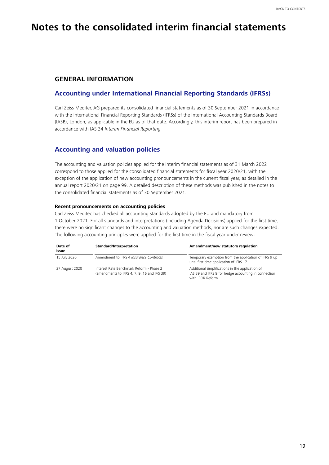# <span id="page-18-0"></span>**Notes to the consolidated interim financial statements**

### **GENERAL INFORMATION**

## **Accounting under International Financial Reporting Standards (IFRSs)**

Carl Zeiss Meditec AG prepared its consolidated financial statements as of 30 September 2021 in accordance with the International Financial Reporting Standards (IFRSs) of the International Accounting Standards Board (IASB), London, as applicable in the EU as of that date. Accordingly, this interim report has been prepared in accordance with IAS 34 *Interim Financial Reporting*

## **Accounting and valuation policies**

The accounting and valuation policies applied for the interim financial statements as of 31 March 2022 correspond to those applied for the consolidated financial statements for fiscal year 2020/21, with the exception of the application of new accounting pronouncements in the current fiscal year, as detailed in the annual report 2020/21 on page 99. A detailed description of these methods was published in the notes to the consolidated financial statements as of 30 September 2021.

#### **Recent pronouncements on accounting policies**

Carl Zeiss Meditec has checked all accounting standards adopted by the EU and mandatory from 1 October 2021. For all standards and interpretations (including Agenda Decisions) applied for the first time, there were no significant changes to the accounting and valuation methods, nor are such changes expected. The following accounting principles were applied for the first time in the fiscal year under review:

| Date of<br>issue | Standard/Interpretation                                                                 | Amendment/new statutory regulation                                                                                           |
|------------------|-----------------------------------------------------------------------------------------|------------------------------------------------------------------------------------------------------------------------------|
| 15 July 2020     | Amendment to IFRS 4 Insurance Contracts                                                 | Temporary exemption from the application of IFRS 9 up<br>until first-time application of IFRS 17                             |
| 27 August 2020   | Interest Rate Benchmark Reform - Phase 2<br>(amendments to IFRS 4, 7, 9, 16 and IAS 39) | Additional simplifications in the application of<br>IAS 39 and IFRS 9 for hedge accounting in connection<br>with IBOR Reform |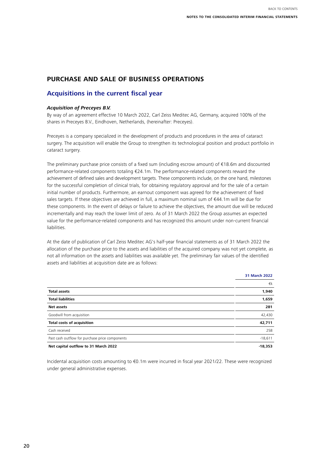# <span id="page-19-0"></span>**PURCHASE AND SALE OF BUSINESS OPERATIONS**

## **Acquisitions in the current fiscal year**

#### *Acquisition of Preceyes B.V.*

By way of an agreement effective 10 March 2022, Carl Zeiss Meditec AG, Germany, acquired 100% of the shares in Preceyes B.V., Eindhoven, Netherlands, (hereinafter: Preceyes).

Preceyes is a company specialized in the development of products and procedures in the area of cataract surgery. The acquisition will enable the Group to strengthen its technological position and product portfolio in cataract surgery.

The preliminary purchase price consists of a fixed sum (including escrow amount) of €18.6m and discounted performance-related components totaling €24.1m. The performance-related components reward the achievement of defined sales and development targets. These components include, on the one hand, milestones for the successful completion of clinical trials, for obtaining regulatory approval and for the sale of a certain initial number of products. Furthermore, an earnout component was agreed for the achievement of fixed sales targets. If these objectives are achieved in full, a maximum nominal sum of €44.1m will be due for these components. In the event of delays or failure to achieve the objectives, the amount due will be reduced incrementally and may reach the lower limit of zero. As of 31 March 2022 the Group assumes an expected value for the performance-related components and has recognized this amount under non-current financial liabilities.

At the date of publication of Carl Zeiss Meditec AG's half-year financial statements as of 31 March 2022 the allocation of the purchase price to the assets and liabilities of the acquired company was not yet complete, as not all information on the assets and liabilities was available yet. The preliminary fair values of the identified assets and liabilities at acquisition date are as follows:

|                                                 | <b>31 March 2022</b> |
|-------------------------------------------------|----------------------|
|                                                 | €k                   |
| <b>Total assets</b>                             | 1,940                |
| <b>Total liabilities</b>                        | 1,659                |
| <b>Net assets</b>                               | 281                  |
| Goodwill from acquisition                       | 42,430               |
| <b>Total costs of acquisition</b>               | 42,711               |
| Cash received                                   | 258                  |
| Past cash outflow for purchase price components | $-18,611$            |
| Net capital outflow to 31 March 2022            | $-18.353$            |

Incidental acquisition costs amounting to €0.1m were incurred in fiscal year 2021/22. These were recognized under general administrative expenses.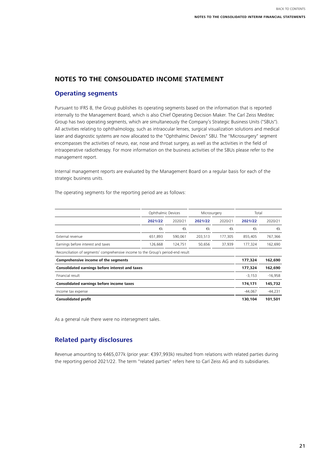# <span id="page-20-0"></span>**NOTES TO THE CONSOLIDATED INCOME STATEMENT**

# **Operating segments**

Pursuant to IFRS 8, the Group publishes its operating segments based on the information that is reported internally to the Management Board, which is also Chief Operating Decision Maker. The Carl Zeiss Meditec Group has two operating segments, which are simultaneously the Company's Strategic Business Units ("SBUs"). All activities relating to ophthalmology, such as intraocular lenses, surgical visualization solutions and medical laser and diagnostic systems are now allocated to the "Ophthalmic Devices" SBU. The "Microsurgery" segment encompasses the activities of neuro, ear, nose and throat surgery, as well as the activities in the field of intraoperative radiotherapy. For more information on the business activities of the SBUs please refer to the management report.

Internal management reports are evaluated by the Management Board on a regular basis for each of the strategic business units.

The operating segments for the reporting period are as follows:

|                                                                                   | Ophthalmic Devices |         | Microsurgery |         | Total      |            |
|-----------------------------------------------------------------------------------|--------------------|---------|--------------|---------|------------|------------|
|                                                                                   | 2021/22            | 2020/21 | 2021/22      | 2020/21 | 2021/22    | 2020/21    |
|                                                                                   | €k                 | €k      | €k           | €k      | $\notin k$ | $\notin k$ |
| External revenue                                                                  | 651,893            | 590,061 | 203,513      | 177,305 | 855,405    | 767,366    |
| Earnings before interest and taxes                                                | 126,668            | 124,751 | 50,656       | 37,939  | 177,324    | 162,690    |
| Reconciliation of segments' comprehensive income to the Group's period-end result |                    |         |              |         |            |            |
| Comprehensive income of the segments                                              |                    |         |              |         | 177,324    | 162,690    |
| Consolidated earnings before interest and taxes                                   |                    |         |              |         | 177,324    | 162,690    |
| Financial result                                                                  |                    |         |              |         | $-3,153$   | $-16,958$  |
| Consolidated earnings before income taxes                                         |                    |         |              |         | 174,171    | 145,732    |
| Income tax expense                                                                |                    |         |              |         | $-44.067$  | $-44,231$  |
| <b>Consolidated profit</b>                                                        |                    |         |              |         | 130,104    | 101,501    |

As a general rule there were no intersegment sales.

# **Related party disclosures**

Revenue amounting to €465,077k (prior year: €397,993k) resulted from relations with related parties during the reporting period 2021/22. The term "related parties" refers here to Carl Zeiss AG and its subsidiaries.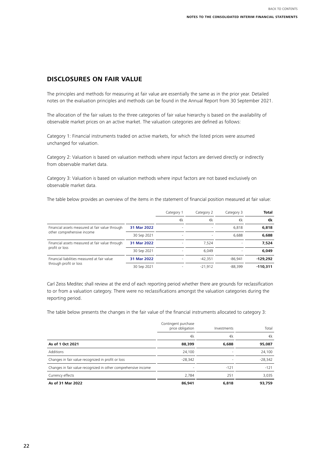# <span id="page-21-0"></span>**DISCLOSURES ON FAIR VALUE**

The principles and methods for measuring at fair value are essentially the same as in the prior year. Detailed notes on the evaluation principles and methods can be found in the Annual Report from 30 September 2021.

The allocation of the fair values to the three categories of fair value hierarchy is based on the availability of observable market prices on an active market. The valuation categories are defined as follows:

Category 1: Financial instruments traded on active markets, for which the listed prices were assumed unchanged for valuation.

Category 2: Valuation is based on valuation methods where input factors are derived directly or indirectly from observable market data.

Category 3: Valuation is based on valuation methods where input factors are not based exclusively on observable market data.

The table below provides an overview of the items in the statement of financial position measured at fair value:

|                                                 |             | Category 1 | Category 2 | Category 3 | <b>Total</b> |
|-------------------------------------------------|-------------|------------|------------|------------|--------------|
|                                                 |             | €k         | €k         | €k         | €k           |
| Financial assets measured at fair value through | 31 Mar 2022 | $\sim$     |            | 6.818      | 6.818        |
| other comprehensive income                      | 30 Sep 2021 |            |            | 6.688      | 6,688        |
| Financial assets measured at fair value through | 31 Mar 2022 |            | 7.524      |            | 7.524        |
| profit or loss                                  | 30 Sep 2021 |            | 6.049      |            | 6,049        |
| Financial liabilities measured at fair value    | 31 Mar 2022 |            | $-42.351$  | $-86.941$  | $-129.292$   |
| through profit or loss                          | 30 Sep 2021 |            | $-21.912$  | $-88.399$  | $-110.311$   |

Carl Zeiss Meditec shall review at the end of each reporting period whether there are grounds for reclassification to or from a valuation category. There were no reclassifications amongst the valuation categories during the reporting period.

The table below presents the changes in the fair value of the financial instruments allocated to category 3:

|                                                                | Contingent purchase<br>price obligation | Investments | Total     |
|----------------------------------------------------------------|-----------------------------------------|-------------|-----------|
|                                                                | €k                                      | €k          | €k        |
| As of 1 Oct 2021                                               | 88,399                                  | 6,688       | 95,087    |
| Additions                                                      | 24,100                                  |             | 24,100    |
| Changes in fair value recognized in profit or loss             | $-28.342$                               |             | $-28,342$ |
| Changes in fair value recognized in other comprehensive income |                                         | $-121$      | $-121$    |
| Currency effects                                               | 2,784                                   | 251         | 3,035     |
| As of 31 Mar 2022                                              | 86,941                                  | 6,818       | 93.759    |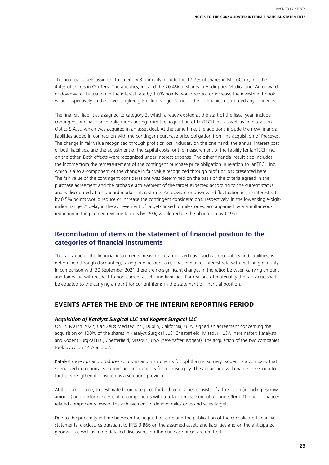<span id="page-22-0"></span>The financial assets assigned to category 3 primarily include the 17.7% of shares in MicroOptx, Inc, the 4.4% of shares in OcuTerra Therapeutics, Inc and the 20.4% of shares in Audioptics Medical Inc. An upward or downward fluctuation in the interest rate by 1.0% points would reduce or increase the investment book value, respectively, in the lower single-digit-million range. None of the companies distributed any dividends.

The financial liabilities assigned to category 3, which already existed at the start of the fiscal year, include contingent purchase price obligations arising from the acquisition of IanTECH Inc. as well as InfiniteVision Optics S.A.S., which was acquired in an asset deal. At the same time, the additions include the new financial liabilities added in connection with the contingent purchase price obligation from the acquisition of Preceyes. The change in fair value recognized through profit or loss includes, on the one hand, the annual interest cost of both liabilities, and the adjustment of the capital costs for the measurement of the liability for IanTECH Inc., on the other. Both effects were recognized under interest expense. The other financial result also includes the income from the remeasurement of the contingent purchase price obligation in relation to IanTECH Inc., which is also a component of the change in fair value recognized through profit or loss presented here. The fair value of the contingent considerations was determined on the basis of the criteria agreed in the purchase agreement and the probable achievement of the target expected according to the current status and is discounted at a standard market interest rate. An upward or downward fluctuation in the interest rate by 0.5% points would reduce or increase the contingent considerations, respectively, in the lower single-digitmillion range. A delay in the achievement of targets linked to milestones, accompanied by a simultaneous reduction in the planned revenue targets by 15%, would reduce the obligation by €19m.

# **Reconciliation of items in the statement of financial position to the categories of financial instruments**

The fair value of the financial instruments measured at amortized cost, such as receivables and liabilities, is determined through discounting, taking into account a risk-based market interest rate with matching maturity. In comparison with 30 September 2021 there are no significant changes in the ratios between carrying amount and fair value with respect to non-current assets and liabilities. For reasons of materiality the fair value shall be equated to the carrying amount for current items in the statement of financial position.

## **EVENTS AFTER THE END OF THE INTERIM REPORTING PERIOD**

#### *Acquisition of Katalyst Surgical LLC and Kogent Surgical LLC*

On 25 March 2022, Carl Zeiss Meditec Inc., Dublin, California, USA, signed an agreement concerning the acquisition of 100% of the shares in Katalyst Surgical LLC, Chesterfield, Missouri, USA (hereinafter: Katalyst) and Kogent Surgical LLC, Chesterfield, Missouri, USA (hereinafter: Kogent). The acquisition of the two companies took place on 14 April 2022.

Katalyst develops and produces solutions and instruments for ophthalmic surgery. Kogent is a company that specialized in technical solutions and instruments for microsurgery. The acquisition will enable the Group to further strengthen its position as a solutions provider.

At the current time, the estimated purchase price for both companies consists of a fixed sum (including escrow amount) and performance-related components with a total nominal sum of around €90m. The performancerelated components reward the achievement of defined milestones and sales targets.

Due to the proximity in time between the acquisition date and the publication of the consolidated financial statements, disclosures pursuant to IFRS 3 B66 on the assumed assets and liabilities and on the anticipated goodwill, as well as more detailed disclosures on the purchase price, are omitted.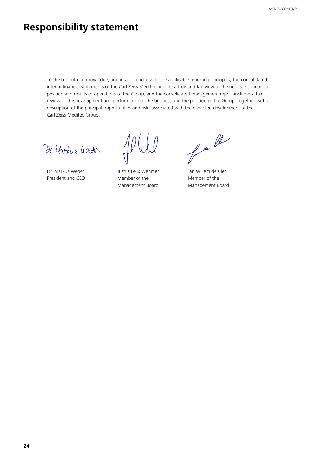# <span id="page-23-0"></span>**Responsibility statement**

To the best of our knowledge, and in accordance with the applicable reporting principles, the consolidated interim financial statements of the Carl Zeiss Meditec provide a true and fair view of the net assets, financial position and results of operations of the Group, and the consolidated management report includes a fair review of the development and performance of the business and the position of the Group, together with a description of the principal opportunities and risks associated with the expected development of the Carl Zeiss Meditec Group.

Dr. Harbus Weds

Dr. Markus Weber **Justus Felix Wehmer** Jan Willem de Cler

President and CEO Member of the Member of the Member of the

for the

Management Board Management Board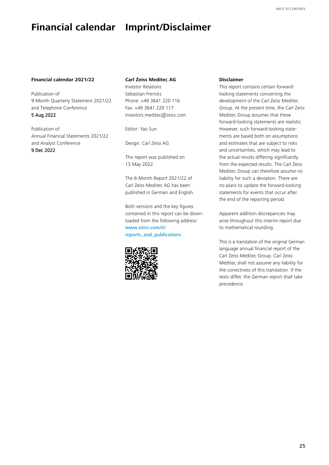# <span id="page-24-0"></span>**Financial calendar Imprint/Disclaimer**

#### **Financial calendar 2021/22**

Publication of 9-Month Quarterly Statement 2021/22 and Telephone Conference 5 Aug 2022

Publication of Annual Financial Statements 2021/22 and Analyst Conference 9 Dec 2022

#### **Carl Zeiss Meditec AG**

Investor Relations Sebastian Frericks Phone: +49 3641 220 116 Fax: +49 3641 220 117 investors.meditec@zeiss.com

Editor: Yao Sun

Design: Carl Zeiss AG

This report was published on 13 May 2022.

The 6-Month Report 2021/22 of Carl Zeiss Meditec AG has been published in German and English.

Both versions and the key figures contained in this report can be downloaded from the following address: [www.zeiss.com/ir/](http://www.zeiss.com/ir/reports_and_publications) [reports\\_and\\_p](http://www.zeiss.com/ir/reports_and_publications)ublications



#### **Disclaimer**

This report contains certain forwardlooking statements concerning the development of the Carl Zeiss Meditec Group. At the present time, the Carl Zeiss Meditec Group assumes that these forward-looking statements are realistic. However, such forward-looking statements are based both on assumptions and estimates that are subject to risks and uncertainties, which may lead to the actual results differing significantly from the expected results. The Carl Zeiss Meditec Group can therefore assume no liability for such a deviation. There are no plans to update the forward-looking statements for events that occur after the end of the reporting period.

Apparent addition discrepancies may arise throughout this interim report due to mathematical rounding.

This is a translation of the original German language annual financial report of the Carl Zeiss Meditec Group. Carl Zeiss Meditec shall not assume any liability for the correctness of this translation. If the texts differ, the German report shall take precedence.